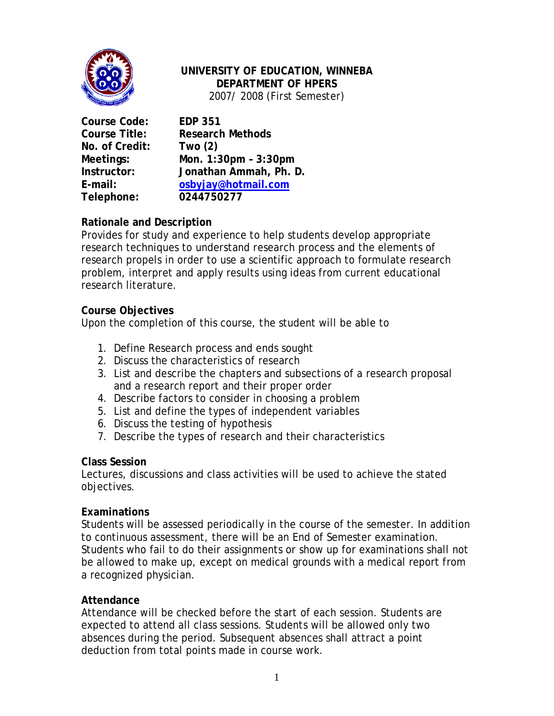

# **UNIVERSITY OF EDUCATION, WINNEBA DEPARTMENT OF HPERS**

2007/ 2008 (First Semester)

**Course Code: EDP 351 No. of Credit: Two (2) Telephone: 0244750277**

**Course Title: Research Methods Meetings: Mon. 1:30pm – 3:30pm Instructor: Jonathan Ammah, Ph. D. E-mail: osbyjay@hotmail.com**

# **Rationale and Description**

Provides for study and experience to help students develop appropriate research techniques to understand research process and the elements of research propels in order to use a scientific approach to formulate research problem, interpret and apply results using ideas from current educational research literature.

# **Course Objectives**

Upon the completion of this course, the student will be able to

- 1. Define Research process and ends sought
- 2. Discuss the characteristics of research
- 3. List and describe the chapters and subsections of a research proposal and a research report and their proper order
- 4. Describe factors to consider in choosing a problem
- 5. List and define the types of independent variables
- 6. Discuss the testing of hypothesis
- 7. Describe the types of research and their characteristics

#### **Class Session**

Lectures, discussions and class activities will be used to achieve the stated objectives.

# **Examinations**

Students will be assessed periodically in the course of the semester. In addition to continuous assessment, there will be an End of Semester examination. Students who fail to do their assignments or show up for examinations shall not be allowed to make up, except on medical grounds with a medical report from a recognized physician.

# **Attendance**

Attendance will be checked before the start of each session. Students are expected to attend all class sessions. Students will be allowed only two absences during the period. Subsequent absences shall attract a point deduction from total points made in course work.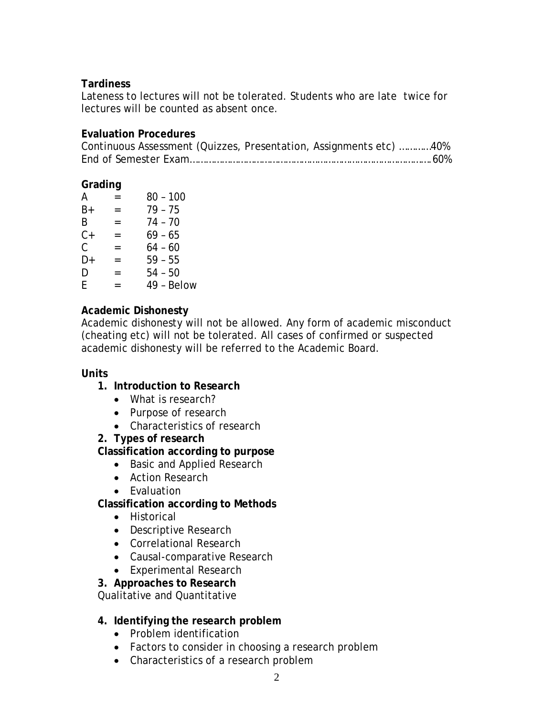### **Tardiness**

Lateness to lectures will not be tolerated. Students who are late twice for lectures will be counted as absent once.

### **Evaluation Procedures**

| Continuous Assessment (Quizzes, Presentation, Assignments etc) 40% |  |  |
|--------------------------------------------------------------------|--|--|
|                                                                    |  |  |

### **Grading**

| А  |     | 80 - 100   |
|----|-----|------------|
| B+ | $=$ | 79 - 75    |
| B  | =   | 74 - 70    |
| C+ | $=$ | $69 - 65$  |
| C. | $=$ | $64 - 60$  |
| D+ | $=$ | $59 - 55$  |
| D  | $=$ | 54 - 50    |
| F  | =   | 49 - Below |
|    |     |            |

### **Academic Dishonesty**

Academic dishonesty will not be allowed. Any form of academic misconduct (cheating etc) will not be tolerated. All cases of confirmed or suspected academic dishonesty will be referred to the Academic Board.

#### **Units**

# **1. Introduction to Research**

- What is research?
- Purpose of research
- Characteristics of research

#### **2. Types of research**

# **Classification according to purpose**

- Basic and Applied Research
- Action Research
- Evaluation

# **Classification according to Methods**

- Historical
- Descriptive Research
- Correlational Research
- Causal-comparative Research
- Experimental Research

#### **3. Approaches to Research**

Qualitative and Quantitative

#### **4. Identifying the research problem**

- Problem identification
- Factors to consider in choosing a research problem
- Characteristics of a research problem